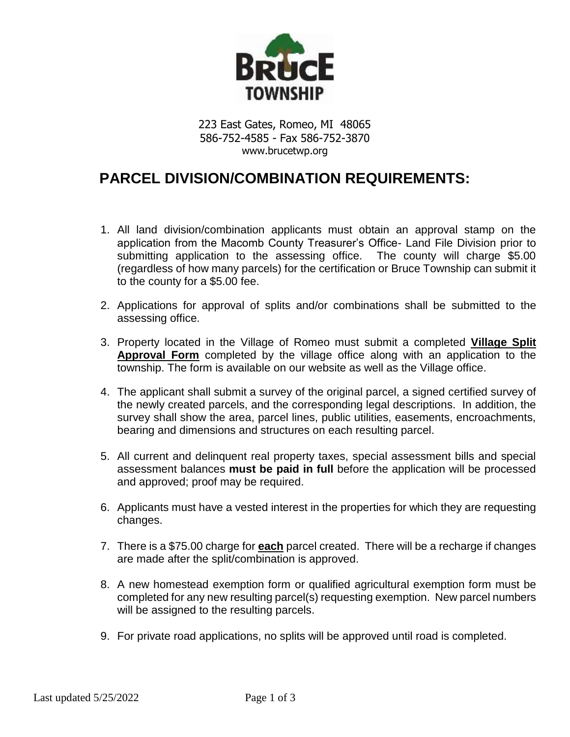

223 East Gates, Romeo, MI 48065 586-752-4585 - Fax 586-752-3870 www.brucetwp.org

## **PARCEL DIVISION/COMBINATION REQUIREMENTS:**

- 1. All land division/combination applicants must obtain an approval stamp on the application from the Macomb County Treasurer's Office- Land File Division prior to submitting application to the assessing office. The county will charge \$5.00 (regardless of how many parcels) for the certification or Bruce Township can submit it to the county for a \$5.00 fee.
- 2. Applications for approval of splits and/or combinations shall be submitted to the assessing office.
- 3. Property located in the Village of Romeo must submit a completed **Village Split Approval Form** completed by the village office along with an application to the township. The form is available on our website as well as the Village office.
- 4. The applicant shall submit a survey of the original parcel, a signed certified survey of the newly created parcels, and the corresponding legal descriptions. In addition, the survey shall show the area, parcel lines, public utilities, easements, encroachments, bearing and dimensions and structures on each resulting parcel.
- 5. All current and delinquent real property taxes, special assessment bills and special assessment balances **must be paid in full** before the application will be processed and approved; proof may be required.
- 6. Applicants must have a vested interest in the properties for which they are requesting changes.
- 7. There is a \$75.00 charge for **each** parcel created. There will be a recharge if changes are made after the split/combination is approved.
- 8. A new homestead exemption form or qualified agricultural exemption form must be completed for any new resulting parcel(s) requesting exemption. New parcel numbers will be assigned to the resulting parcels.
- 9. For private road applications, no splits will be approved until road is completed.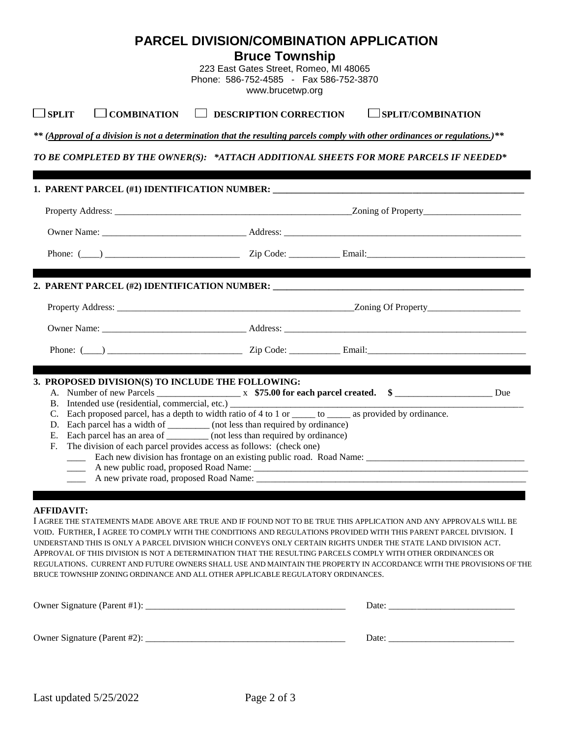**Bruce Township**

223 East Gates Street, Romeo, MI 48065 Phone: 586-752-4585 - Fax 586-752-3870 www.brucetwp.org

## **SPLIT COMBINATION DESCRIPTION CORRECTION SPLIT/COMBINATION**

*\*\* (Approval of a division is not a determination that the resulting parcels comply with other ordinances or regulations.)\*\**

*TO BE COMPLETED BY THE OWNER(S): \*ATTACH ADDITIONAL SHEETS FOR MORE PARCELS IF NEEDED\**

| 3. PROPOSED DIVISION(S) TO INCLUDE THE FOLLOWING:                                 |                                                                                                        |  |
|-----------------------------------------------------------------------------------|--------------------------------------------------------------------------------------------------------|--|
|                                                                                   |                                                                                                        |  |
| B. Intended use (residential, commercial, etc.) ________________________________  |                                                                                                        |  |
|                                                                                   | Each proposed parcel, has a depth to width ratio of 4 to 1 or _____ to _____ as provided by ordinance. |  |
| Each parcel has a width of __________ (not less than required by ordinance)<br>D. |                                                                                                        |  |
| Each parcel has an area of _________ (not less than required by ordinance)<br>Е.  |                                                                                                        |  |
| The division of each parcel provides access as follows: (check one)<br>F.         |                                                                                                        |  |
|                                                                                   |                                                                                                        |  |
|                                                                                   |                                                                                                        |  |
|                                                                                   |                                                                                                        |  |

## **AFFIDAVIT:**

I AGREE THE STATEMENTS MADE ABOVE ARE TRUE AND IF FOUND NOT TO BE TRUE THIS APPLICATION AND ANY APPROVALS WILL BE VOID. FURTHER, I AGREE TO COMPLY WITH THE CONDITIONS AND REGULATIONS PROVIDED WITH THIS PARENT PARCEL DIVISION. I UNDERSTAND THIS IS ONLY A PARCEL DIVISION WHICH CONVEYS ONLY CERTAIN RIGHTS UNDER THE STATE LAND DIVISION ACT. APPROVAL OF THIS DIVISION IS NOT A DETERMINATION THAT THE RESULTING PARCELS COMPLY WITH OTHER ORDINANCES OR REGULATIONS. CURRENT AND FUTURE OWNERS SHALL USE AND MAINTAIN THE PROPERTY IN ACCORDANCE WITH THE PROVISIONS OF THE BRUCE TOWNSHIP ZONING ORDINANCE AND ALL OTHER APPLICABLE REGULATORY ORDINANCES.

| Owner Signature (Parent #1): $\overline{\phantom{a}}$ | Date: |
|-------------------------------------------------------|-------|
|                                                       |       |
| Owner Signature (Parent #2):                          | Date: |